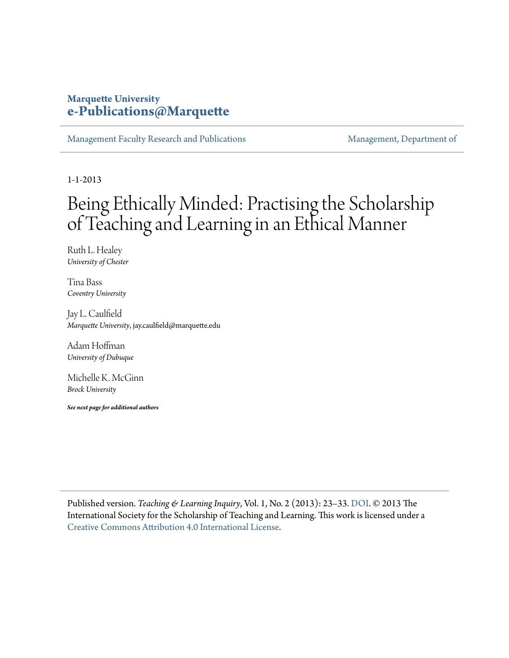### **Marquette University [e-Publications@Marquette](https://epublications.marquette.edu)**

[Management Faculty Research and Publications](https://epublications.marquette.edu/mgmt_fac) [Management, Department of](https://epublications.marquette.edu/mgmt)

1-1-2013

# Being Ethically Minded: Practising the Scholarship of Teaching and Learning in an Ethical Manner

Ruth L. Healey *University of Chester*

Tina Bass *Coventry University*

Jay L. Caulfield *Marquette University*, jay.caulfield@marquette.edu

Adam Hoffman *University of Dubuque*

Michelle K. McGinn *Brock University*

*See next page for additional authors*

Published version. *Teaching & Learning Inquiry*, Vol. 1, No. 2 (2013): 23–33. [DOI.](https://doi.org/10.20343/teachlearninqu.1.2.23) © 2013 The International Society for the Scholarship of Teaching and Learning. This work is licensed under a [Creative Commons Attribution 4.0 International License.](https://creativecommons.org/licenses/by/4.0/)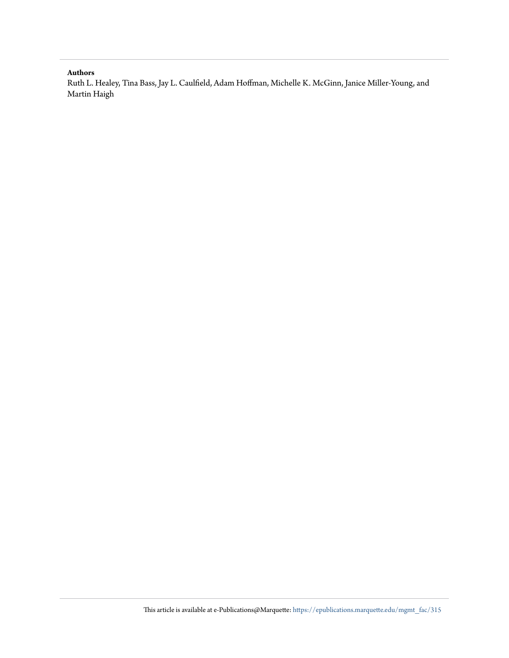#### **Authors**

Ruth L. Healey, Tina Bass, Jay L. Caulfield, Adam Hoffman, Michelle K. McGinn, Janice Miller-Young, and Martin Haigh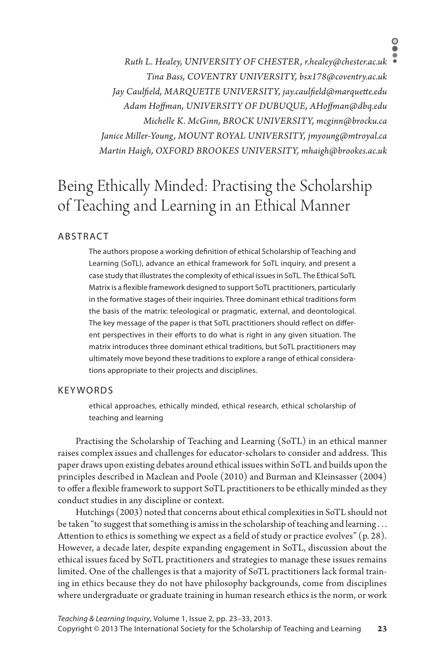*Ruth L. Healey, UNIVERSITY OF CHESTER, r.healey@chester.ac.uk Tina Bass, COVENTRY UNIVERSITY, bsx178@coventry.ac.uk Jay Caulfield, MARQUETTE UNIVERSITY, jay.caulfield@marquette.edu Adam Hoffman, UNIVERSITY OF DUBUQUE, AHoffman@dbq.edu Michelle K. McGinn, BROCK UNIVERSITY, mcginn@brocku.ca Janice Miller-Young, MOUNT ROYAL UNIVERSITY, jmyoung@mtroyal.ca Martin Haigh, OXFORD BROOKES UNIVERSITY, mhaigh@brookes.ac.uk*

## Being Ethically Minded: Practising the Scholarship of Teaching and Learning in an Ethical Manner

#### **ABSTRACT**

The authors propose a working definition of ethical Scholarship of Teaching and Learning (SoTL), advance an ethical framework for SoTL inquiry, and present a case study that illustrates the complexity of ethical issues in SoTL. The Ethical SoTL Matrix is a flexible framework designed to support SoTL practitioners, particularly in the formative stages of their inquiries. Three dominant ethical traditions form the basis of the matrix: teleological or pragmatic, external, and deontological. The key message of the paper is that SoTL practitioners should reflect on different perspectives in their efforts to do what is right in any given situation. The matrix introduces three dominant ethical traditions, but SoTL practitioners may ultimately move beyond these traditions to explore a range of ethical considerations appropriate to their projects and disciplines.

#### KEYWORDS

ethical approaches, ethically minded, ethical research, ethical scholarship of teaching and learning

Practising the Scholarship of Teaching and Learning (SoTL) in an ethical manner raises complex issues and challenges for educator-scholars to consider and address. This paper draws upon existing debates around ethical issues within SoTL and builds upon the principles described in Maclean and Poole (2010) and Burman and Kleinsasser (2004) to offer a flexible framework to support SoTL practitioners to be ethically minded as they conduct studies in any discipline or context.

Hutchings (2003) noted that concerns about ethical complexities in SoTL should not be taken "to suggest that something is amiss in the scholarship of teaching and learning . . . Attention to ethics is something we expect as a field of study or practice evolves" (p. 28). However, a decade later, despite expanding engagement in SoTL, discussion about the ethical issues faced by SoTL practitioners and strategies to manage these issues remains limited. One of the challenges is that a majority of SoTL practitioners lack formal training in ethics because they do not have philosophy backgrounds, come from disciplines where undergraduate or graduate training in human research ethics is the norm, or work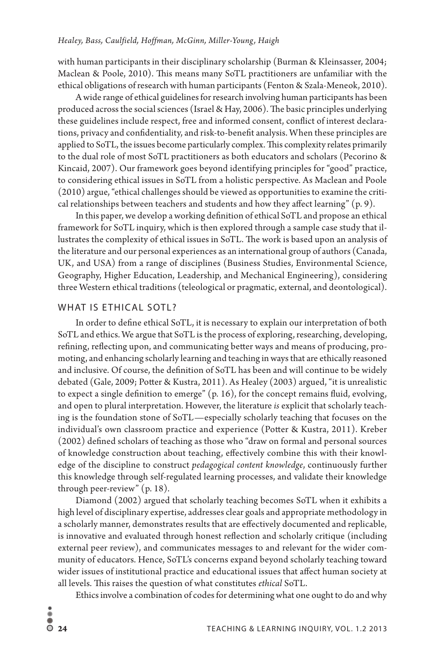with human participants in their disciplinary scholarship (Burman & Kleinsasser, 2004; Maclean & Poole, 2010). This means many SoTL practitioners are unfamiliar with the ethical obligations of research with human participants (Fenton & Szala-Meneok, 2010).

A wide range of ethical guidelines for research involving human participants has been produced across the social sciences (Israel & Hay, 2006). The basic principles underlying these guidelines include respect, free and informed consent, conflict of interest declarations, privacy and confidentiality, and risk-to-benefit analysis. When these principles are applied to SoTL, the issues become particularly complex. This complexity relates primarily to the dual role of most SoTL practitioners as both educators and scholars (Pecorino & Kincaid, 2007). Our framework goes beyond identifying principles for "good" practice, to considering ethical issues in SoTL from a holistic perspective. As Maclean and Poole (2010) argue, "ethical challenges should be viewed as opportunities to examine the critical relationships between teachers and students and how they affect learning"  $(p, 9)$ .

In this paper, we develop a working definition of ethical SoTL and propose an ethical framework for SoTL inquiry, which is then explored through a sample case study that illustrates the complexity of ethical issues in SoTL. The work is based upon an analysis of the literature and our personal experiences as an international group of authors (Canada, UK, and USA) from a range of disciplines (Business Studies, Environmental Science, Geography, Higher Education, Leadership, and Mechanical Engineering), considering three Western ethical traditions (teleological or pragmatic, external, and deontological).

#### WHAT IS ETHICAL SOTL?

In order to define ethical SoTL, it is necessary to explain our interpretation of both SoTL and ethics. We argue that SoTL is the process of exploring, researching, developing, refining, reflecting upon, and communicating better ways and means of producing, promoting, and enhancing scholarly learning and teaching in ways that are ethically reasoned and inclusive. Of course, the definition of SoTL has been and will continue to be widely debated (Gale, 2009; Potter & Kustra, 2011). As Healey (2003) argued, "it is unrealistic to expect a single definition to emerge"  $(p. 16)$ , for the concept remains fluid, evolving, and open to plural interpretation. However, the literature *is* explicit that scholarly teaching is the foundation stone of SoTL—especially scholarly teaching that focuses on the individual's own classroom practice and experience (Potter & Kustra, 2011). Kreber (2002) defined scholars of teaching as those who "draw on formal and personal sources of knowledge construction about teaching, effectively combine this with their knowledge of the discipline to construct *pedagogical content knowledge*, continuously further this knowledge through self-regulated learning processes, and validate their knowledge through peer-review" (p. 18).

Diamond (2002) argued that scholarly teaching becomes SoTL when it exhibits a high level of disciplinary expertise, addresses clear goals and appropriate methodology in a scholarly manner, demonstrates results that are effectively documented and replicable, is innovative and evaluated through honest reflection and scholarly critique (including external peer review), and communicates messages to and relevant for the wider community of educators. Hence, SoTL's concerns expand beyond scholarly teaching toward wider issues of institutional practice and educational issues that affect human society at all levels. This raises the question of what constitutes *ethical* SoTL.

Ethics involve a combination of codes for determining what one ought to do and why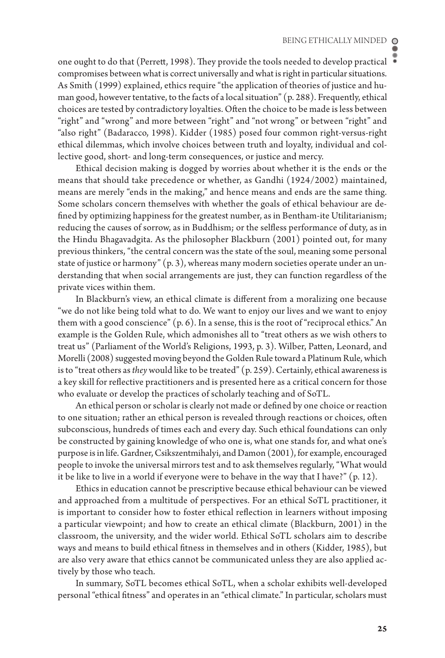one ought to do that (Perrett, 1998). They provide the tools needed to develop practical compromises between what is correct universally and what is right in particular situations. As Smith (1999) explained, ethics require "the application of theories of justice and human good, however tentative, to the facts of a local situation" (p. 288). Frequently, ethical choices are tested by contradictory loyalties. Often the choice to be made is less between "right" and "wrong" and more between "right" and "not wrong" or between "right" and "also right" (Badaracco, 1998). Kidder (1985) posed four common right-versus-right ethical dilemmas, which involve choices between truth and loyalty, individual and collective good, short- and long-term consequences, or justice and mercy.

Ethical decision making is dogged by worries about whether it is the ends or the means that should take precedence or whether, as Gandhi (1924/2002) maintained, means are merely "ends in the making," and hence means and ends are the same thing. Some scholars concern themselves with whether the goals of ethical behaviour are defined by optimizing happiness for the greatest number, as in Bentham-ite Utilitarianism; reducing the causes of sorrow, as in Buddhism; or the selfless performance of duty, as in the Hindu Bhagavadgita. As the philosopher Blackburn (2001) pointed out, for many previous thinkers, "the central concern was the state of the soul, meaning some personal state of justice or harmony" (p. 3), whereas many modern societies operate under an understanding that when social arrangements are just, they can function regardless of the private vices within them.

In Blackburn's view, an ethical climate is different from a moralizing one because "we do not like being told what to do. We want to enjoy our lives and we want to enjoy them with a good conscience" (p. 6). In a sense, this is the root of "reciprocal ethics." An example is the Golden Rule, which admonishes all to "treat others as we wish others to treat us" (Parliament of the World's Religions, 1993, p. 3). Wilber, Patten, Leonard, and Morelli (2008) suggested moving beyond the Golden Rule toward a Platinum Rule, which is to "treat others as *they* would like to be treated" (p. 259). Certainly, ethical awareness is a key skill for reflective practitioners and is presented here as a critical concern for those who evaluate or develop the practices of scholarly teaching and of SoTL.

An ethical person or scholar is clearly not made or defined by one choice or reaction to one situation; rather an ethical person is revealed through reactions or choices, often subconscious, hundreds of times each and every day. Such ethical foundations can only be constructed by gaining knowledge of who one is, what one stands for, and what one's purpose is in life. Gardner, Csikszentmihalyi, and Damon (2001), for example, encouraged people to invoke the universal mirrors test and to ask themselves regularly, "What would it be like to live in a world if everyone were to behave in the way that I have?"  $(p. 12)$ .

Ethics in education cannot be prescriptive because ethical behaviour can be viewed and approached from a multitude of perspectives. For an ethical SoTL practitioner, it is important to consider how to foster ethical reflection in learners without imposing a particular viewpoint; and how to create an ethical climate (Blackburn, 2001) in the classroom, the university, and the wider world. Ethical SoTL scholars aim to describe ways and means to build ethical fitness in themselves and in others (Kidder, 1985), but are also very aware that ethics cannot be communicated unless they are also applied actively by those who teach.

In summary, SoTL becomes ethical SoTL, when a scholar exhibits well-developed personal "ethical fitness" and operates in an "ethical climate." In particular, scholars must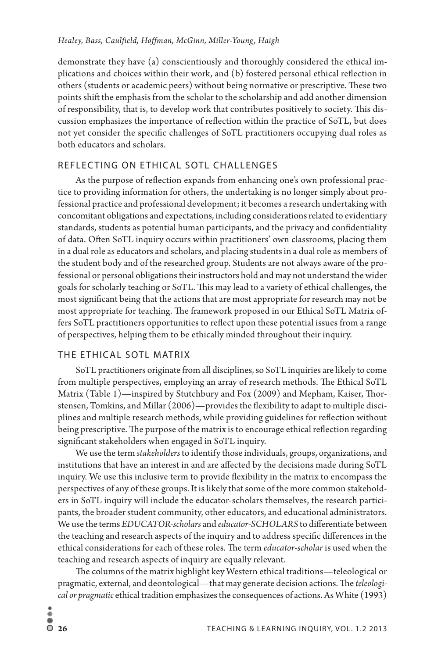demonstrate they have (a) conscientiously and thoroughly considered the ethical implications and choices within their work, and (b) fostered personal ethical reflection in others (students or academic peers) without being normative or prescriptive. These two points shift the emphasis from the scholar to the scholarship and add another dimension of responsibility, that is, to develop work that contributes positively to society. This discussion emphasizes the importance of reflection within the practice of SoTL, but does not yet consider the specific challenges of SoTL practitioners occupying dual roles as both educators and scholars.

#### REFLECTING ON ETHICAL SOTL CHALLENGES

As the purpose of reflection expands from enhancing one's own professional practice to providing information for others, the undertaking is no longer simply about professional practice and professional development; it becomes a research undertaking with concomitant obligations and expectations, including considerations related to evidentiary standards, students as potential human participants, and the privacy and confidentiality of data. Often SoTL inquiry occurs within practitioners' own classrooms, placing them in a dual role as educators and scholars, and placing students in a dual role as members of the student body and of the researched group. Students are not always aware of the professional or personal obligations their instructors hold and may not understand the wider goals for scholarly teaching or SoTL. This may lead to a variety of ethical challenges, the most significant being that the actions that are most appropriate for research may not be most appropriate for teaching. The framework proposed in our Ethical SoTL Matrix offers SoTL practitioners opportunities to reflect upon these potential issues from a range of perspectives, helping them to be ethically minded throughout their inquiry.

#### THE ETHICAL SOTL MATRIX

SoTL practitioners originate from all disciplines, so SoTL inquiries are likely to come from multiple perspectives, employing an array of research methods. The Ethical SoTL Matrix (Table 1)—inspired by Stutchbury and Fox (2009) and Mepham, Kaiser, Thorstensen, Tomkins, and Millar (2006)—provides the flexibility to adapt to multiple disciplines and multiple research methods, while providing guidelines for reflection without being prescriptive. The purpose of the matrix is to encourage ethical reflection regarding significant stakeholders when engaged in SoTL inquiry.

We use the term *stakeholders* to identify those individuals, groups, organizations, and institutions that have an interest in and are affected by the decisions made during SoTL inquiry. We use this inclusive term to provide flexibility in the matrix to encompass the perspectives of any of these groups. It is likely that some of the more common stakeholders in SoTL inquiry will include the educator-scholars themselves, the research participants, the broader student community, other educators, and educational administrators. We use the terms *EDUCATOR-scholars* and *educator-SCHOLARS* to differentiate between the teaching and research aspects of the inquiry and to address specific differences in the ethical considerations for each of these roles. The term *educator-scholar* is used when the teaching and research aspects of inquiry are equally relevant.

The columns of the matrix highlight key Western ethical traditions—teleological or pragmatic, external, and deontological—that may generate decision actions. The *teleological or pragmatic* ethical tradition emphasizes the consequences of actions. As White (1993)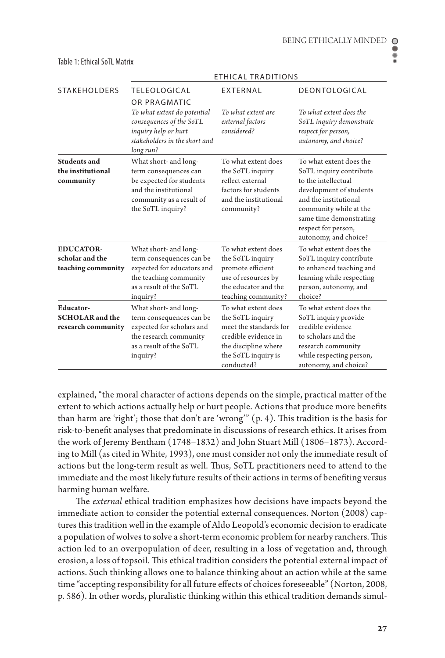|                                                                  | <b>ETHICAL TRADITIONS</b>                                                                                                                            |                                                                                                                                                        |                                                                                                                                                                                                                                    |  |
|------------------------------------------------------------------|------------------------------------------------------------------------------------------------------------------------------------------------------|--------------------------------------------------------------------------------------------------------------------------------------------------------|------------------------------------------------------------------------------------------------------------------------------------------------------------------------------------------------------------------------------------|--|
| <b>STAKEHOLDERS</b>                                              | <b>TELEOLOGICAL</b>                                                                                                                                  | EXTERNAL                                                                                                                                               | DEONTOLOGICAL                                                                                                                                                                                                                      |  |
|                                                                  | OR PRAGMATIC<br>To what extent do potential<br>consequences of the SoTL<br>inquiry help or hurt<br>stakeholders in the short and<br>long run?        | To what extent are<br>external factors<br>considered?                                                                                                  | To what extent does the<br>SoTL inquiry demonstrate<br>respect for person,<br>autonomy, and choice?                                                                                                                                |  |
| Students and<br>the institutional<br>community                   | What short- and long-<br>term consequences can<br>be expected for students<br>and the institutional<br>community as a result of<br>the SoTL inquiry? | To what extent does<br>the SoTL inquiry<br>reflect external<br>factors for students<br>and the institutional<br>community?                             | To what extent does the<br>SoTL inquiry contribute<br>to the intellectual<br>development of students<br>and the institutional<br>community while at the<br>same time demonstrating<br>respect for person,<br>autonomy, and choice? |  |
| <b>EDUCATOR-</b><br>scholar and the<br>teaching community        | What short- and long-<br>term consequences can be<br>expected for educators and<br>the teaching community<br>as a result of the SoTL<br>inquiry?     | To what extent does<br>the SoTL inquiry<br>promote efficient<br>use of resources by<br>the educator and the<br>teaching community?                     | To what extent does the<br>SoTL inquiry contribute<br>to enhanced teaching and<br>learning while respecting<br>person, autonomy, and<br>choice?                                                                                    |  |
| <b>Educator-</b><br><b>SCHOLAR</b> and the<br>research community | What short- and long-<br>term consequences can be<br>expected for scholars and<br>the research community<br>as a result of the SoTL<br>inquiry?      | To what extent does<br>the SoTL inquiry<br>meet the standards for<br>credible evidence in<br>the discipline where<br>the SoTL inquiry is<br>conducted? | To what extent does the<br>SoTL inquiry provide<br>credible evidence<br>to scholars and the<br>research community<br>while respecting person,<br>autonomy, and choice?                                                             |  |

#### Table 1: Ethical SoTL Matrix

explained, "the moral character of actions depends on the simple, practical matter of the extent to which actions actually help or hurt people. Actions that produce more benefits than harm are 'right'; those that don't are 'wrong'" (p. 4). This tradition is the basis for risk-to-benefit analyses that predominate in discussions of research ethics. It arises from the work of Jeremy Bentham (1748–1832) and John Stuart Mill (1806–1873). According to Mill (as cited in White, 1993), one must consider not only the immediate result of actions but the long-term result as well. Thus, SoTL practitioners need to attend to the immediate and the most likely future results of their actions in terms of benefiting versus harming human welfare.

The *external* ethical tradition emphasizes how decisions have impacts beyond the immediate action to consider the potential external consequences. Norton (2008) captures this tradition well in the example of Aldo Leopold's economic decision to eradicate a population of wolves to solve a short-term economic problem for nearby ranchers. This action led to an overpopulation of deer, resulting in a loss of vegetation and, through erosion, a loss of topsoil. This ethical tradition considers the potential external impact of actions. Such thinking allows one to balance thinking about an action while at the same time "accepting responsibility for all future effects of choices foreseeable" (Norton, 2008, p. 586). In other words, pluralistic thinking within this ethical tradition demands simul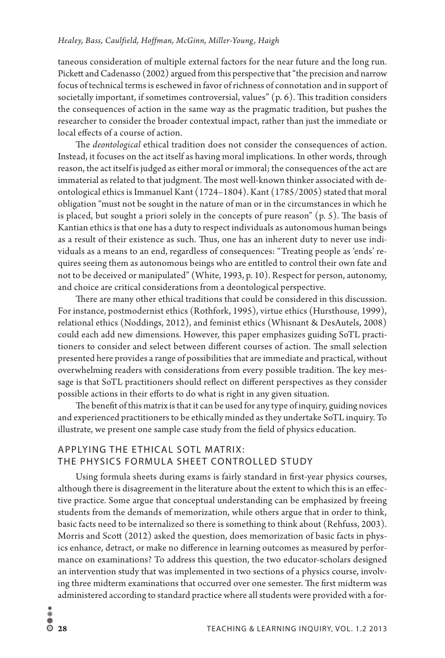taneous consideration of multiple external factors for the near future and the long run. Pickett and Cadenasso (2002) argued from this perspective that "the precision and narrow focus of technical terms is eschewed in favor of richness of connotation and in support of societally important, if sometimes controversial, values" (p. 6). This tradition considers the consequences of action in the same way as the pragmatic tradition, but pushes the researcher to consider the broader contextual impact, rather than just the immediate or local effects of a course of action.

The *deontological* ethical tradition does not consider the consequences of action. Instead, it focuses on the act itself as having moral implications. In other words, through reason, the act itself is judged as either moral or immoral; the consequences of the act are immaterial as related to that judgment. The most well-known thinker associated with deontological ethics is Immanuel Kant (1724–1804). Kant (1785/2005) stated that moral obligation "must not be sought in the nature of man or in the circumstances in which he is placed, but sought a priori solely in the concepts of pure reason" (p. 5). The basis of Kantian ethics is that one has a duty to respect individuals as autonomous human beings as a result of their existence as such. Thus, one has an inherent duty to never use individuals as a means to an end, regardless of consequences: "Treating people as 'ends' requires seeing them as autonomous beings who are entitled to control their own fate and not to be deceived or manipulated" (White, 1993, p. 10). Respect for person, autonomy, and choice are critical considerations from a deontological perspective.

There are many other ethical traditions that could be considered in this discussion. For instance, postmodernist ethics (Rothfork, 1995), virtue ethics (Hursthouse, 1999), relational ethics (Noddings, 2012), and feminist ethics (Whisnant & DesAutels, 2008) could each add new dimensions. However, this paper emphasizes guiding SoTL practitioners to consider and select between different courses of action. The small selection presented here provides a range of possibilities that are immediate and practical, without overwhelming readers with considerations from every possible tradition. The key message is that SoTL practitioners should reflect on different perspectives as they consider possible actions in their efforts to do what is right in any given situation.

The benefit of this matrix is that it can be used for any type of inquiry, guiding novices and experienced practitioners to be ethically minded as they undertake SoTL inquiry. To illustrate, we present one sample case study from the field of physics education.

#### APPLYING THE ETHICAL SOTL MATRIX: THE PHYSICS FORMULA SHEET CONTROLLED STUDY

Using formula sheets during exams is fairly standard in first-year physics courses, although there is disagreement in the literature about the extent to which this is an effective practice. Some argue that conceptual understanding can be emphasized by freeing students from the demands of memorization, while others argue that in order to think, basic facts need to be internalized so there is something to think about (Rehfuss, 2003). Morris and Scott (2012) asked the question, does memorization of basic facts in physics enhance, detract, or make no difference in learning outcomes as measured by performance on examinations? To address this question, the two educator-scholars designed an intervention study that was implemented in two sections of a physics course, involving three midterm examinations that occurred over one semester. The first midterm was administered according to standard practice where all students were provided with a for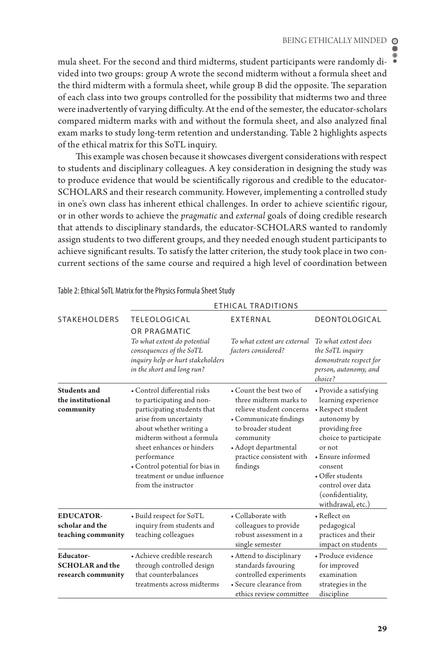mula sheet. For the second and third midterms, student participants were randomly divided into two groups: group A wrote the second midterm without a formula sheet and the third midterm with a formula sheet, while group B did the opposite. The separation of each class into two groups controlled for the possibility that midterms two and three were inadvertently of varying difficulty. At the end of the semester, the educator-scholars compared midterm marks with and without the formula sheet, and also analyzed final exam marks to study long-term retention and understanding. Table 2 highlights aspects of the ethical matrix for this SoTL inquiry.

This example was chosen because it showcases divergent considerations with respect to students and disciplinary colleagues. A key consideration in designing the study was to produce evidence that would be scientifically rigorous and credible to the educator-SCHOLARS and their research community. However, implementing a controlled study in one's own class has inherent ethical challenges. In order to achieve scientific rigour, or in other words to achieve the *pragmatic* and *external* goals of doing credible research that attends to disciplinary standards, the educator-SCHOLARS wanted to randomly assign students to two different groups, and they needed enough student participants to achieve significant results. To satisfy the latter criterion, the study took place in two concurrent sections of the same course and required a high level of coordination between

|                                                           | ETHICAL TRADITIONS                                                                                                                                                                                                                                                                                               |                                                                                                                                                                                                            |                                                                                                                                                                                                                                                           |  |
|-----------------------------------------------------------|------------------------------------------------------------------------------------------------------------------------------------------------------------------------------------------------------------------------------------------------------------------------------------------------------------------|------------------------------------------------------------------------------------------------------------------------------------------------------------------------------------------------------------|-----------------------------------------------------------------------------------------------------------------------------------------------------------------------------------------------------------------------------------------------------------|--|
| <b>STAKEHOLDERS</b>                                       | <b>TELEOLOGICAL</b>                                                                                                                                                                                                                                                                                              | EXTERNAL                                                                                                                                                                                                   | DEONTOLOGICAL                                                                                                                                                                                                                                             |  |
|                                                           | OR PRAGMATIC<br>To what extent do potential<br>consequences of the SoTL<br>inquiry help or hurt stakeholders<br>in the short and long run?                                                                                                                                                                       | To what extent are external<br>factors considered?                                                                                                                                                         | To what extent does<br>the SoTL inquiry<br>demonstrate respect for<br>person, autonomy, and<br>choice?                                                                                                                                                    |  |
| Students and<br>the institutional<br>community            | • Control differential risks<br>to participating and non-<br>participating students that<br>arise from uncertainty<br>about whether writing a<br>midterm without a formula<br>sheet enhances or hinders<br>performance<br>• Control potential for bias in<br>treatment or undue influence<br>from the instructor | • Count the best two of<br>three midterm marks to<br>relieve student concerns<br>• Communicate findings<br>to broader student<br>community<br>• Adopt departmental<br>practice consistent with<br>findings | • Provide a satisfying<br>learning experience<br>• Respect student<br>autonomy by<br>providing free<br>choice to participate<br>or not<br>• Ensure informed<br>consent<br>• Offer students<br>control over data<br>(confidentiality,<br>withdrawal, etc.) |  |
| <b>EDUCATOR-</b><br>scholar and the<br>teaching community | • Build respect for SoTL<br>inquiry from students and<br>teaching colleagues                                                                                                                                                                                                                                     | • Collaborate with<br>colleagues to provide<br>robust assessment in a<br>single semester                                                                                                                   | • Reflect on<br>pedagogical<br>practices and their<br>impact on students                                                                                                                                                                                  |  |
| Educator-<br><b>SCHOLAR</b> and the<br>research community | • Achieve credible research<br>through controlled design<br>that counterbalances<br>treatments across midterms                                                                                                                                                                                                   | • Attend to disciplinary<br>standards favouring<br>controlled experiments<br>• Secure clearance from<br>ethics review committee                                                                            | • Produce evidence<br>for improved<br>examination<br>strategies in the<br>discipline                                                                                                                                                                      |  |

Table 2: Ethical SoTL Matrix for the Physics Formula Sheet Study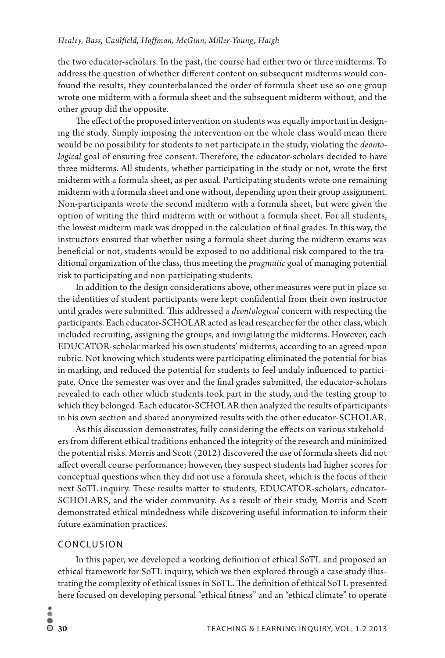the two educator-scholars. In the past, the course had either two or three midterms. To address the question of whether different content on subsequent midterms would confound the results, they counterbalanced the order of formula sheet use so one group wrote one midterm with a formula sheet and the subsequent midterm without, and the other group did the opposite.

The effect of the proposed intervention on students was equally important in designing the study. Simply imposing the intervention on the whole class would mean there would be no possibility for students to not participate in the study, violating the *deontological* goal of ensuring free consent. Therefore, the educator-scholars decided to have three midterms. All students, whether participating in the study or not, wrote the first midterm with a formula sheet, as per usual. Participating students wrote one remaining midterm with a formula sheet and one without, depending upon their group assignment. Non-participants wrote the second midterm with a formula sheet, but were given the option of writing the third midterm with or without a formula sheet. For all students, the lowest midterm mark was dropped in the calculation of final grades. In this way, the instructors ensured that whether using a formula sheet during the midterm exams was beneficial or not, students would be exposed to no additional risk compared to the traditional organization of the class, thus meeting the *pragmatic* goal of managing potential risk to participating and non-participating students.

In addition to the design considerations above, other measures were put in place so the identities of student participants were kept confidential from their own instructor until grades were submitted. This addressed a *deontological* concern with respecting the participants. Each educator-SCHOLAR acted as lead researcher for the other class, which included recruiting, assigning the groups, and invigilating the midterms. However, each EDUCATOR-scholar marked his own students' midterms, according to an agreed-upon rubric. Not knowing which students were participating eliminated the potential for bias in marking, and reduced the potential for students to feel unduly influenced to participate. Once the semester was over and the final grades submitted, the educator-scholars revealed to each other which students took part in the study, and the testing group to which they belonged. Each educator-SCHOLAR then analyzed the results of participants in his own section and shared anonymized results with the other educator-SCHOLAR.

As this discussion demonstrates, fully considering the effects on various stakeholders from different ethical traditions enhanced the integrity of the research and minimized the potential risks. Morris and Scott (2012) discovered the use of formula sheets did not affect overall course performance; however, they suspect students had higher scores for conceptual questions when they did not use a formula sheet, which is the focus of their next SoTL inquiry. These results matter to students, EDUCATOR-scholars, educator-SCHOLARS, and the wider community. As a result of their study, Morris and Scott demonstrated ethical mindedness while discovering useful information to inform their future examination practices.

#### CONCLUSION

In this paper, we developed a working definition of ethical SoTL and proposed an ethical framework for SoTL inquiry, which we then explored through a case study illustrating the complexity of ethical issues in SoTL. The definition of ethical SoTL presented here focused on developing personal "ethical fitness" and an "ethical climate" to operate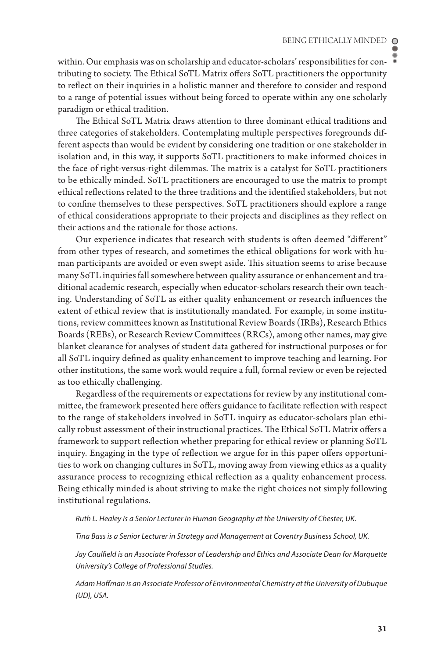within. Our emphasis was on scholarship and educator-scholars' responsibilities for contributing to society. The Ethical SoTL Matrix offers SoTL practitioners the opportunity to reflect on their inquiries in a holistic manner and therefore to consider and respond to a range of potential issues without being forced to operate within any one scholarly paradigm or ethical tradition.

The Ethical SoTL Matrix draws attention to three dominant ethical traditions and three categories of stakeholders. Contemplating multiple perspectives foregrounds different aspects than would be evident by considering one tradition or one stakeholder in isolation and, in this way, it supports SoTL practitioners to make informed choices in the face of right-versus-right dilemmas. The matrix is a catalyst for SoTL practitioners to be ethically minded. SoTL practitioners are encouraged to use the matrix to prompt ethical reflections related to the three traditions and the identified stakeholders, but not to confine themselves to these perspectives. SoTL practitioners should explore a range of ethical considerations appropriate to their projects and disciplines as they reflect on their actions and the rationale for those actions.

Our experience indicates that research with students is often deemed "different" from other types of research, and sometimes the ethical obligations for work with human participants are avoided or even swept aside. This situation seems to arise because many SoTL inquiries fall somewhere between quality assurance or enhancement and traditional academic research, especially when educator-scholars research their own teaching. Understanding of SoTL as either quality enhancement or research influences the extent of ethical review that is institutionally mandated. For example, in some institutions, review committees known as Institutional Review Boards (IRBs), Research Ethics Boards (REBs), or Research Review Committees (RRCs), among other names, may give blanket clearance for analyses of student data gathered for instructional purposes or for all SoTL inquiry defined as quality enhancement to improve teaching and learning. For other institutions, the same work would require a full, formal review or even be rejected as too ethically challenging.

Regardless of the requirements or expectations for review by any institutional committee, the framework presented here offers guidance to facilitate reflection with respect to the range of stakeholders involved in SoTL inquiry as educator-scholars plan ethically robust assessment of their instructional practices. The Ethical SoTL Matrix offers a framework to support reflection whether preparing for ethical review or planning SoTL inquiry. Engaging in the type of reflection we argue for in this paper offers opportunities to work on changing cultures in SoTL, moving away from viewing ethics as a quality assurance process to recognizing ethical reflection as a quality enhancement process. Being ethically minded is about striving to make the right choices not simply following institutional regulations.

*Ruth L. Healey is a Senior Lecturer in Human Geography at the University of Chester, UK.* 

*Tina Bass is a Senior Lecturer in Strategy and Management at Coventry Business School, UK.* 

*Jay Caulfield is an Associate Professor of Leadership and Ethics and Associate Dean for Marquette University's College of Professional Studies.*

*Adam Hoffman is an Associate Professor of Environmental Chemistry at the University of Dubuque (UD), USA.*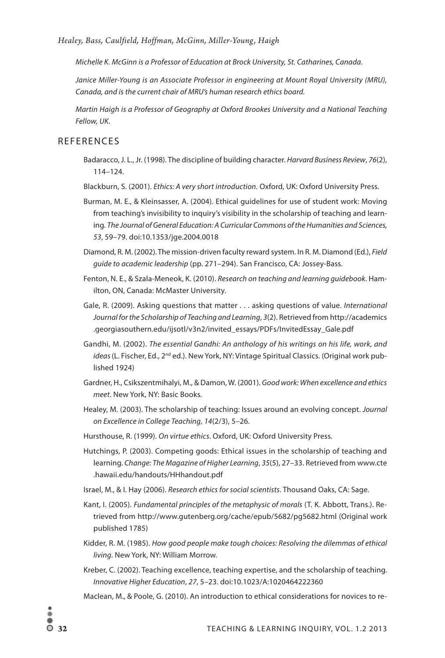*Healey, Bass, Caulfield, Hoffman, McGinn, Miller-Young , Haigh*

*Michelle K. McGinn is a Professor of Education at Brock University, St. Catharines, Canada.* 

*Janice Miller-Young is an Associate Professor in engineering at Mount Royal University (MRU), Canada, and is the current chair of MRU's human research ethics board.* 

*Martin Haigh is a Professor of Geography at Oxford Brookes University and a National Teaching Fellow, UK.* 

#### **REFERENCES**

- Badaracco, J. L., Jr. (1998). The discipline of building character. *Harvard Business Review*, *76*(2), 114–124.
- Blackburn, S. (2001). *Ethics: A very short introduction*. Oxford, UK: Oxford University Press.
- Burman, M. E., & Kleinsasser, A. (2004). Ethical guidelines for use of student work: Moving from teaching's invisibility to inquiry's visibility in the scholarship of teaching and learning. *The Journal of General Education: A Curricular Commons of the Humanities and Sciences, 53*, 59–79. doi:10.1353/jge.2004.0018
- Diamond, R. M. (2002). The mission-driven faculty reward system. In R. M. Diamond (Ed.), *Field guide to academic leadership* (pp. 271–294). San Francisco, CA: Jossey-Bass.
- Fenton, N. E., & Szala-Meneok, K. (2010). *Research on teaching and learning guidebook*. Hamilton, ON, Canada: McMaster University.
- Gale, R. (2009). Asking questions that matter . . . asking questions of value. *International Journal for the Scholarship of Teaching and Learning*, *3*(2). Retrieved from http://academics .georgiasouthern.edu/ijsotl/v3n2/invited\_essays/PDFs/InvitedEssay\_Gale.pdf
- Gandhi, M. (2002). *The essential Gandhi: An anthology of his writings on his life, work, and*  ideas (L. Fischer, Ed., 2<sup>nd</sup> ed.). New York, NY: Vintage Spiritual Classics. (Original work published 1924)
- Gardner, H., Csikszentmihalyi, M., & Damon, W. (2001). *Good work: When excellence and ethics meet*. New York, NY: Basic Books.
- Healey, M. (2003). The scholarship of teaching: Issues around an evolving concept. *Journal on Excellence in College Teaching*, *14*(2/3), 5–26.
- Hursthouse, R. (1999). *On virtue ethics*. Oxford, UK: Oxford University Press.
- Hutchings, P. (2003). Competing goods: Ethical issues in the scholarship of teaching and learning. *Change: The Magazine of Higher Learning*, *35*(5), 27–33. Retrieved from www.cte .hawaii.edu/handouts/HHhandout.pdf
- Israel, M., & I. Hay (2006). *Research ethics for social scientists*. Thousand Oaks, CA: Sage.
- Kant, I. (2005). *Fundamental principles of the metaphysic of morals* (T. K. Abbott, Trans.). Retrieved from http://www.gutenberg.org/cache/epub/5682/pg5682.html (Original work published 1785)
- Kidder, R. M. (1985). *How good people make tough choices: Resolving the dilemmas of ethical living*. New York, NY: William Morrow.
- Kreber, C. (2002). Teaching excellence, teaching expertise, and the scholarship of teaching. *Innovative Higher Education*, *27*, 5–23. doi:10.1023/A:1020464222360
- Maclean, M., & Poole, G. (2010). An introduction to ethical considerations for novices to re-